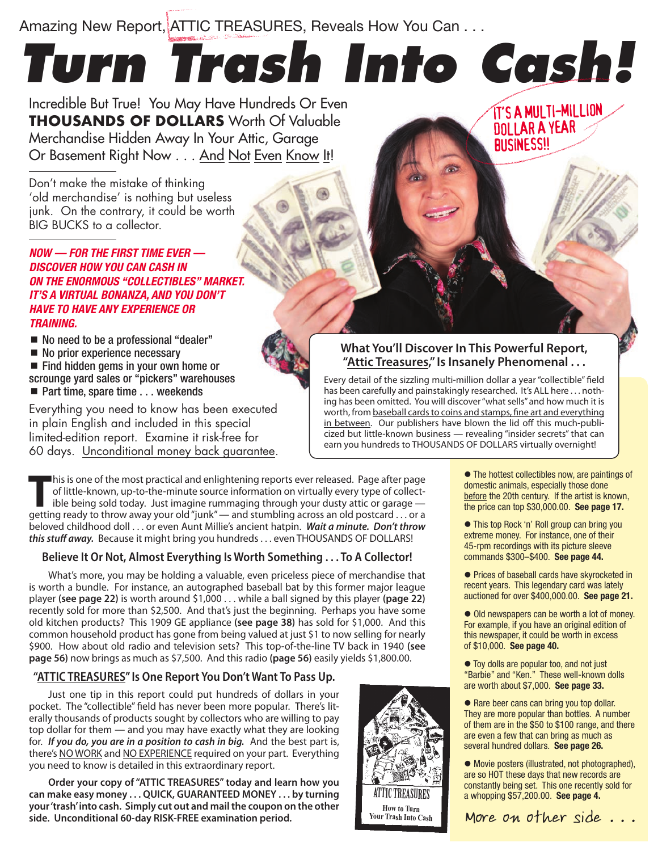Amazing New Report, ATTIC TREASURES, Reveals How You Can . . .

# *Turn Trash Into Cash!*

Incredible But True! You May Have Hundreds Or Even **THOUSANDS OF DOLLARS** Worth Of Valuable Merchandise Hidden Away In Your Attic, Garage Or Basement Right Now . . . And Not Even Know It!

Don't make the mistake of thinking 'old merchandise' is nothing but useless junk. On the contrary, it could be worth BIG BUCKS to a collector.

*NOW — FOR THE FIRST TIME EVER — DISCOVER HOW YOU CAN CASH IN ON THE ENORMOUS "COLLECTIBLES" MARKET. IT'S A VIRTUAL BONANZA, AND YOU DON'T HAVE TO HAVE ANY EXPERIENCE OR TRAINING.*

■ No need to be a professional "dealer"

- No prior experience necessary
- Find hidden gems in your own home or scrounge yard sales or "pickers" warehouses
- Part time, spare time . . . weekends

Everything you need to know has been executed in plain English and included in this special limited-edition report. Examine it risk-free for 60 days. Unconditional money back guarantee.

## **What You'll Discover In This Powerful Report, "Attic Treasures," Is Insanely Phenomenal . . .**

Every detail of the sizzling multi-million dollar a year "collectible" field has been carefully and painstakingly researched. It's ALL here ... nothing has been omitted. You will discover "what sells" and how much it is worth, from baseball cards to coins and stamps, fine art and everything in between. Our publishers have blown the lid off this much-publicized but little-known business — revealing "insider secrets" that can earn you hundreds to THOUSANDS OF DOLLARS virtually overnight!

**T**his is one of the most practical and enlightening reports ever released. Page after page of little-known, up-to-the-minute source information on virtually every type of collectible being sold today. Just imagine rummaging through your dusty attic or garage getting ready to throw away your old "junk" — and stumbling across an old postcard . . . or a beloved childhood doll . . . or even Aunt Millie's ancient hatpin. *Wait a minute. Don't throw this stuff away.* Because it might bring you hundreds . . . even THOUSANDS OF DOLLARS!

### **Believe It Or Not, Almost Everything Is Worth Something . . . To A Collector!**

What's more, you may be holding a valuable, even priceless piece of merchandise that is worth a bundle. For instance, an autographed baseball bat by this former major league player **(see page 22)** is worth around \$1,000 . . . while a ball signed by this player **(page 22)**  recently sold for more than \$2,500. And that's just the beginning. Perhaps you have some old kitchen products? This 1909 GE appliance **(see page 38)** has sold for \$1,000. And this common household product has gone from being valued at just \$1 to now selling for nearly \$900. How about old radio and television sets? This top-of-the-line TV back in 1940 **(see page 56)** now brings as much as \$7,500. And this radio **(page 56)** easily yields \$1,800.00.

## **"ATTIC TREASURES" Is One Report You Don't Want To Pass Up.**

Just one tip in this report could put hundreds of dollars in your pocket. The "collectible" field has never been more popular. There's literally thousands of products sought by collectors who are willing to pay top dollar for them — and you may have exactly what they are looking for. *If you do, you are in a position to cash in big.* And the best part is, there's NO WORK and NO EXPERIENCE required on your part. Everything you need to know is detailed in this extraordinary report.

**Order your copy of "ATTIC TREASURES" today and learn how you can make easy money . . . QUICK, GUARANTEED MONEY . . . by turning your 'trash' into cash. Simply cut out and mail the coupon on the other side. Unconditional 60-day RISK-FREE examination period.**



 $\bullet$  The hottest collectibles now, are paintings of domestic animals, especially those done before the 20th century. If the artist is known, the price can top \$30,000.00. **See page 17.**

IT'S A MULTI-MILLION DOLLAR A YEAR **BUSINESS!!** 

 This top Rock 'n' Roll group can bring you extreme money. For instance, one of their 45-rpm recordings with its picture sleeve commands \$300–\$400. **See page 44.**

● Prices of baseball cards have skyrocketed in recent years. This legendary card was lately auctioned for over \$400,000.00. **See page 21.**

 $\bullet$  Old newspapers can be worth a lot of money. For example, if you have an original edition of this newspaper, it could be worth in excess of \$10,000. **See page 40.**

 $\bullet$  Toy dolls are popular too, and not just "Barbie" and "Ken." These well-known dolls are worth about \$7,000. **See page 33.**

● Rare beer cans can bring you top dollar. They are more popular than bottles. A number of them are in the \$50 to \$100 range, and there are even a few that can bring as much as several hundred dollars. **See page 26.**

 Movie posters (illustrated, not photographed), are so HOT these days that new records are constantly being set. This one recently sold for a whopping \$57,200.00. **See page 4.**

More on other side . . .